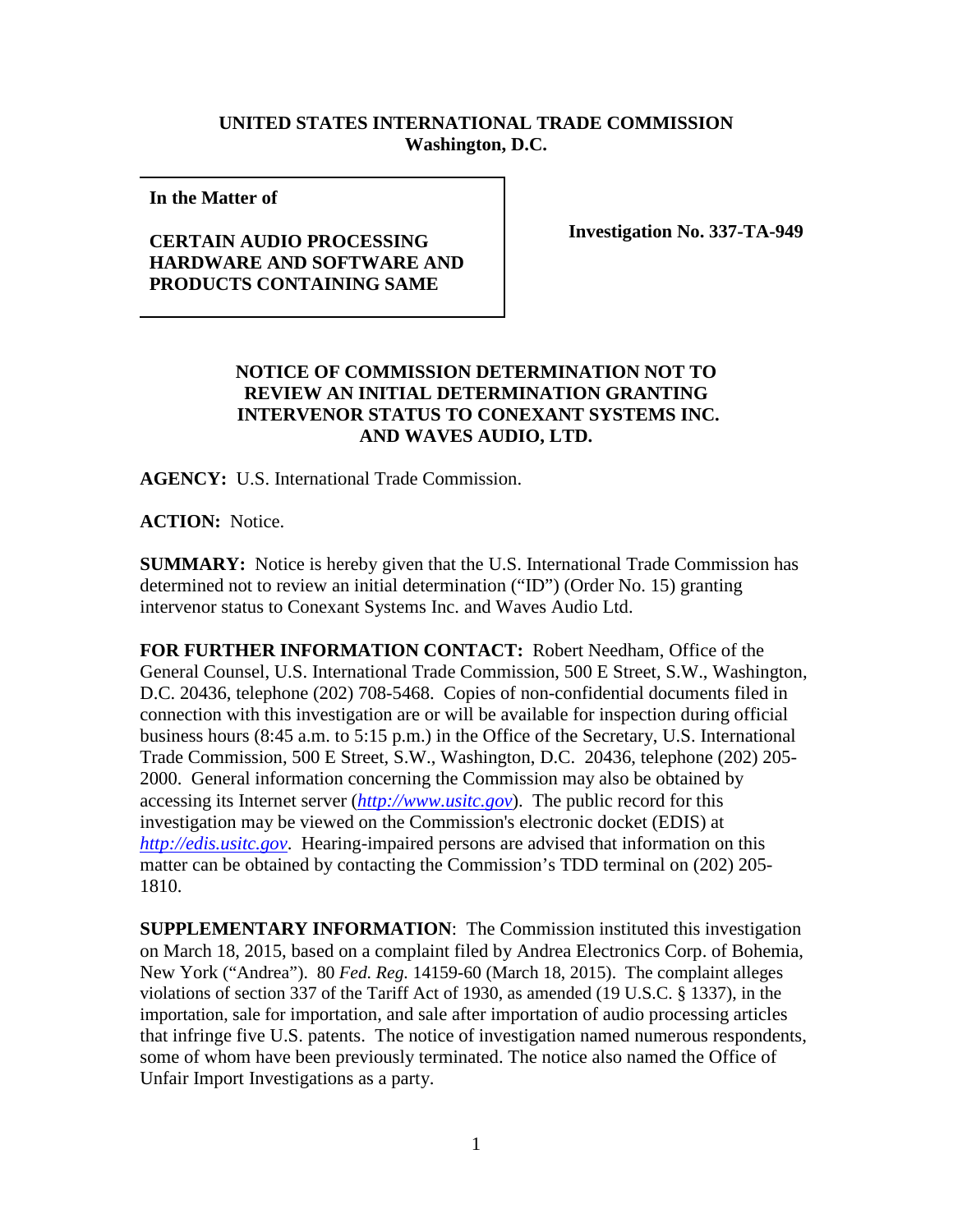## **UNITED STATES INTERNATIONAL TRADE COMMISSION Washington, D.C.**

**In the Matter of** 

## **CERTAIN AUDIO PROCESSING HARDWARE AND SOFTWARE AND PRODUCTS CONTAINING SAME**

**Investigation No. 337-TA-949**

## **NOTICE OF COMMISSION DETERMINATION NOT TO REVIEW AN INITIAL DETERMINATION GRANTING INTERVENOR STATUS TO CONEXANT SYSTEMS INC. AND WAVES AUDIO, LTD.**

**AGENCY:** U.S. International Trade Commission.

**ACTION:** Notice.

**SUMMARY:** Notice is hereby given that the U.S. International Trade Commission has determined not to review an initial determination ("ID") (Order No. 15) granting intervenor status to Conexant Systems Inc. and Waves Audio Ltd.

**FOR FURTHER INFORMATION CONTACT:** Robert Needham, Office of the General Counsel, U.S. International Trade Commission, 500 E Street, S.W., Washington, D.C. 20436, telephone (202) 708-5468. Copies of non-confidential documents filed in connection with this investigation are or will be available for inspection during official business hours (8:45 a.m. to 5:15 p.m.) in the Office of the Secretary, U.S. International Trade Commission, 500 E Street, S.W., Washington, D.C. 20436, telephone (202) 205- 2000. General information concerning the Commission may also be obtained by accessing its Internet server (*[http://www.usitc.gov](http://www.usitc.gov/)*). The public record for this investigation may be viewed on the Commission's electronic docket (EDIS) at *[http://edis.usitc.gov](http://edis.usitc.gov/)*. Hearing-impaired persons are advised that information on this matter can be obtained by contacting the Commission's TDD terminal on (202) 205- 1810.

**SUPPLEMENTARY INFORMATION**: The Commission instituted this investigation on March 18, 2015, based on a complaint filed by Andrea Electronics Corp. of Bohemia, New York ("Andrea"). 80 *Fed. Reg.* 14159-60 (March 18, 2015). The complaint alleges violations of section 337 of the Tariff Act of 1930, as amended (19 U.S.C. § 1337), in the importation, sale for importation, and sale after importation of audio processing articles that infringe five U.S. patents. The notice of investigation named numerous respondents, some of whom have been previously terminated. The notice also named the Office of Unfair Import Investigations as a party.